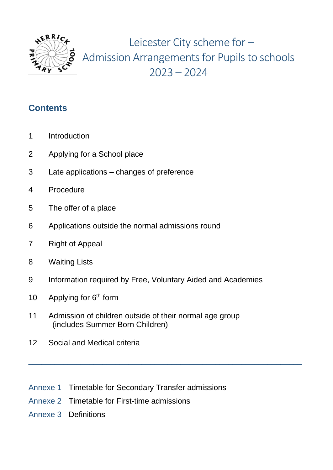

Leicester City scheme for – Admission Arrangements for Pupils to schools  $2023 - 2024$ 

#### **Contents**

- 1 Introduction
- 2 Applying for a School place
- 3 Late applications changes of preference
- 4 Procedure
- 5 The offer of a place
- 6 Applications outside the normal admissions round
- 7 Right of Appeal
- 8 Waiting Lists
- 9 Information required by Free, Voluntary Aided and Academies

\_\_\_\_\_\_\_\_\_\_\_\_\_\_\_\_\_\_\_\_\_\_\_\_\_\_\_\_\_\_\_\_\_\_\_\_\_\_\_\_\_\_\_\_\_\_\_\_\_\_\_\_\_\_\_\_\_\_\_\_\_\_\_

- 10 Applying for  $6<sup>th</sup>$  form
- 11 Admission of children outside of their normal age group (includes Summer Born Children)
- 12 Social and Medical criteria
- Annexe 1 Timetable for Secondary Transfer admissions
- Annexe 2 Timetable for First-time admissions
- Annexe 3 Definitions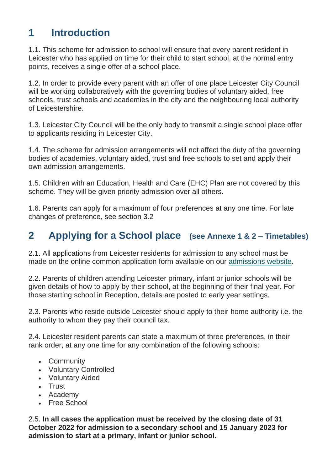# **1 Introduction**

1.1. This scheme for admission to school will ensure that every parent resident in Leicester who has applied on time for their child to start school, at the normal entry points, receives a single offer of a school place.

1.2. In order to provide every parent with an offer of one place Leicester City Council will be working collaboratively with the governing bodies of voluntary aided, free schools, trust schools and academies in the city and the neighbouring local authority of Leicestershire.

1.3. Leicester City Council will be the only body to transmit a single school place offer to applicants residing in Leicester City.

1.4. The scheme for admission arrangements will not affect the duty of the governing bodies of academies, voluntary aided, trust and free schools to set and apply their own admission arrangements.

1.5. Children with an Education, Health and Care (EHC) Plan are not covered by this scheme. They will be given priority admission over all others.

1.6. Parents can apply for a maximum of four preferences at any one time. For late changes of preference, see section 3.2

# **2 Applying for a School place (see Annexe 1 & 2 – Timetables)**

2.1. All applications from Leicester residents for admission to any school must be made on the online common application form available on our [admissions website.](https://www.leicester.gov.uk/schools-and-learning/school-and-colleges/school-admissions/)

2.2. Parents of children attending Leicester primary, infant or junior schools will be given details of how to apply by their school, at the beginning of their final year. For those starting school in Reception, details are posted to early year settings.

2.3. Parents who reside outside Leicester should apply to their home authority i.e. the authority to whom they pay their council tax.

2.4. Leicester resident parents can state a maximum of three preferences, in their rank order, at any one time for any combination of the following schools:

- Community
- Voluntary Controlled
- Voluntary Aided
- Trust
- Academy
- Free School

2.5. **In all cases the application must be received by the closing date of 31 October 2022 for admission to a secondary school and 15 January 2023 for admission to start at a primary, infant or junior school.**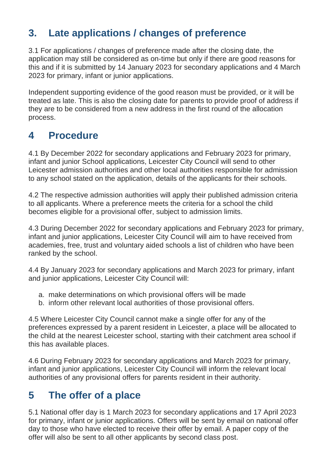# **3. Late applications / changes of preference**

3.1 For applications / changes of preference made after the closing date, the application may still be considered as on-time but only if there are good reasons for this and if it is submitted by 14 January 2023 for secondary applications and 4 March 2023 for primary, infant or junior applications.

Independent supporting evidence of the good reason must be provided, or it will be treated as late. This is also the closing date for parents to provide proof of address if they are to be considered from a new address in the first round of the allocation process.

# **4 Procedure**

4.1 By December 2022 for secondary applications and February 2023 for primary, infant and junior School applications, Leicester City Council will send to other Leicester admission authorities and other local authorities responsible for admission to any school stated on the application, details of the applicants for their schools.

4.2 The respective admission authorities will apply their published admission criteria to all applicants. Where a preference meets the criteria for a school the child becomes eligible for a provisional offer, subject to admission limits.

4.3 During December 2022 for secondary applications and February 2023 for primary, infant and junior applications, Leicester City Council will aim to have received from academies, free, trust and voluntary aided schools a list of children who have been ranked by the school.

4.4 By January 2023 for secondary applications and March 2023 for primary, infant and junior applications, Leicester City Council will:

- a. make determinations on which provisional offers will be made
- b. inform other relevant local authorities of those provisional offers.

4.5 Where Leicester City Council cannot make a single offer for any of the preferences expressed by a parent resident in Leicester, a place will be allocated to the child at the nearest Leicester school, starting with their catchment area school if this has available places.

4.6 During February 2023 for secondary applications and March 2023 for primary, infant and junior applications, Leicester City Council will inform the relevant local authorities of any provisional offers for parents resident in their authority.

### **5 The offer of a place**

5.1 National offer day is 1 March 2023 for secondary applications and 17 April 2023 for primary, infant or junior applications. Offers will be sent by email on national offer day to those who have elected to receive their offer by email. A paper copy of the offer will also be sent to all other applicants by second class post.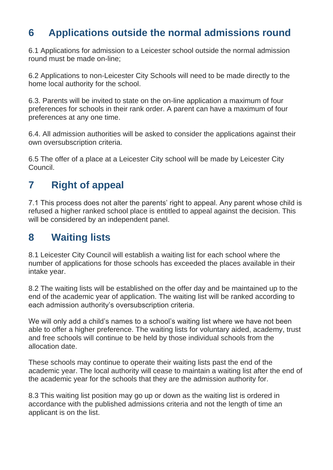### **6 Applications outside the normal admissions round**

6.1 Applications for admission to a Leicester school outside the normal admission round must be made on-line;

6.2 Applications to non-Leicester City Schools will need to be made directly to the home local authority for the school.

6.3. Parents will be invited to state on the on-line application a maximum of four preferences for schools in their rank order. A parent can have a maximum of four preferences at any one time.

6.4. All admission authorities will be asked to consider the applications against their own oversubscription criteria.

6.5 The offer of a place at a Leicester City school will be made by Leicester City Council.

### **7 Right of appeal**

7.1 This process does not alter the parents' right to appeal. Any parent whose child is refused a higher ranked school place is entitled to appeal against the decision. This will be considered by an independent panel.

### **8 Waiting lists**

8.1 Leicester City Council will establish a waiting list for each school where the number of applications for those schools has exceeded the places available in their intake year.

8.2 The waiting lists will be established on the offer day and be maintained up to the end of the academic year of application. The waiting list will be ranked according to each admission authority's oversubscription criteria.

We will only add a child's names to a school's waiting list where we have not been able to offer a higher preference. The waiting lists for voluntary aided, academy, trust and free schools will continue to be held by those individual schools from the allocation date.

These schools may continue to operate their waiting lists past the end of the academic year. The local authority will cease to maintain a waiting list after the end of the academic year for the schools that they are the admission authority for.

8.3 This waiting list position may go up or down as the waiting list is ordered in accordance with the published admissions criteria and not the length of time an applicant is on the list.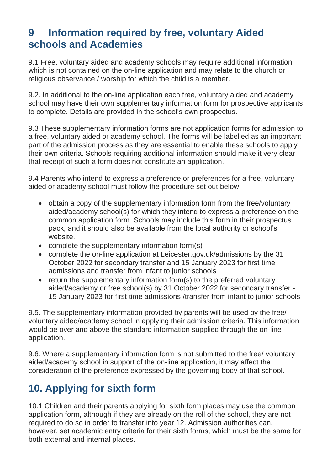#### **9 Information required by free, voluntary Aided schools and Academies**

9.1 Free, voluntary aided and academy schools may require additional information which is not contained on the on-line application and may relate to the church or religious observance / worship for which the child is a member.

9.2. In additional to the on-line application each free, voluntary aided and academy school may have their own supplementary information form for prospective applicants to complete. Details are provided in the school's own prospectus.

9.3 These supplementary information forms are not application forms for admission to a free, voluntary aided or academy school. The forms will be labelled as an important part of the admission process as they are essential to enable these schools to apply their own criteria. Schools requiring additional information should make it very clear that receipt of such a form does not constitute an application.

9.4 Parents who intend to express a preference or preferences for a free, voluntary aided or academy school must follow the procedure set out below:

- obtain a copy of the supplementary information form from the free/voluntary aided/academy school(s) for which they intend to express a preference on the common application form. Schools may include this form in their prospectus pack, and it should also be available from the local authority or school's website.
- complete the supplementary information form(s)
- complete the on-line application at Leicester.gov.uk/admissions by the 31 October 2022 for secondary transfer and 15 January 2023 for first time admissions and transfer from infant to junior schools
- return the supplementary information form(s) to the preferred voluntary aided/academy or free school(s) by 31 October 2022 for secondary transfer - 15 January 2023 for first time admissions /transfer from infant to junior schools

9.5. The supplementary information provided by parents will be used by the free/ voluntary aided/academy school in applying their admission criteria. This information would be over and above the standard information supplied through the on-line application.

9.6. Where a supplementary information form is not submitted to the free/ voluntary aided/academy school in support of the on-line application, it may affect the consideration of the preference expressed by the governing body of that school.

# **10. Applying for sixth form**

10.1 Children and their parents applying for sixth form places may use the common application form, although if they are already on the roll of the school, they are not required to do so in order to transfer into year 12. Admission authorities can, however, set academic entry criteria for their sixth forms, which must be the same for both external and internal places.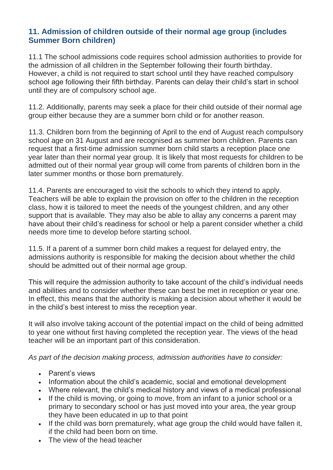#### **11. Admission of children outside of their normal age group (includes Summer Born children)**

11.1 The school admissions code requires school admission authorities to provide for the admission of all children in the September following their fourth birthday. However, a child is not required to start school until they have reached compulsory school age following their fifth birthday. Parents can delay their child's start in school until they are of compulsory school age.

11.2. Additionally, parents may seek a place for their child outside of their normal age group either because they are a summer born child or for another reason.

11.3. Children born from the beginning of April to the end of August reach compulsory school age on 31 August and are recognised as summer born children. Parents can request that a first-time admission summer born child starts a reception place one year later than their normal year group. It is likely that most requests for children to be admitted out of their normal year group will come from parents of children born in the later summer months or those born prematurely.

11.4. Parents are encouraged to visit the schools to which they intend to apply. Teachers will be able to explain the provision on offer to the children in the reception class, how it is tailored to meet the needs of the youngest children, and any other support that is available. They may also be able to allay any concerns a parent may have about their child's readiness for school or help a parent consider whether a child needs more time to develop before starting school.

11.5. If a parent of a summer born child makes a request for delayed entry, the admissions authority is responsible for making the decision about whether the child should be admitted out of their normal age group.

This will require the admission authority to take account of the child's individual needs and abilities and to consider whether these can best be met in reception or year one. In effect, this means that the authority is making a decision about whether it would be in the child's best interest to miss the reception year.

It will also involve taking account of the potential impact on the child of being admitted to year one without first having completed the reception year. The views of the head teacher will be an important part of this consideration.

*As part of the decision making process, admission authorities have to consider:*

- Parent's views
- Information about the child's academic, social and emotional development
- Where relevant, the child's medical history and views of a medical professional
- If the child is moving, or going to move, from an infant to a junior school or a primary to secondary school or has just moved into your area, the year group they have been educated in up to that point
- If the child was born prematurely, what age group the child would have fallen it, if the child had been born on time.
- The view of the head teacher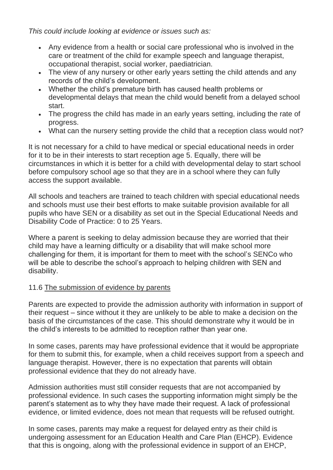*This could include looking at evidence or issues such as:*

- Any evidence from a health or social care professional who is involved in the care or treatment of the child for example speech and language therapist, occupational therapist, social worker, paediatrician.
- The view of any nursery or other early years setting the child attends and any records of the child's development.
- Whether the child's premature birth has caused health problems or developmental delays that mean the child would benefit from a delayed school start.
- The progress the child has made in an early years setting, including the rate of progress.
- What can the nursery setting provide the child that a reception class would not?

It is not necessary for a child to have medical or special educational needs in order for it to be in their interests to start reception age 5. Equally, there will be circumstances in which it is better for a child with developmental delay to start school before compulsory school age so that they are in a school where they can fully access the support available.

All schools and teachers are trained to teach children with special educational needs and schools must use their best efforts to make suitable provision available for all pupils who have SEN or a disability as set out in the Special Educational Needs and Disability Code of Practice: 0 to 25 Years.

Where a parent is seeking to delay admission because they are worried that their child may have a learning difficulty or a disability that will make school more challenging for them, it is important for them to meet with the school's SENCo who will be able to describe the school's approach to helping children with SEN and disability.

#### 11.6 The submission of evidence by parents

Parents are expected to provide the admission authority with information in support of their request – since without it they are unlikely to be able to make a decision on the basis of the circumstances of the case. This should demonstrate why it would be in the child's interests to be admitted to reception rather than year one.

In some cases, parents may have professional evidence that it would be appropriate for them to submit this, for example, when a child receives support from a speech and language therapist. However, there is no expectation that parents will obtain professional evidence that they do not already have.

Admission authorities must still consider requests that are not accompanied by professional evidence. In such cases the supporting information might simply be the parent's statement as to why they have made their request. A lack of professional evidence, or limited evidence, does not mean that requests will be refused outright.

In some cases, parents may make a request for delayed entry as their child is undergoing assessment for an Education Health and Care Plan (EHCP). Evidence that this is ongoing, along with the professional evidence in support of an EHCP,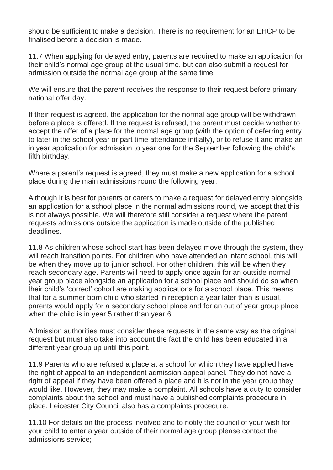should be sufficient to make a decision. There is no requirement for an EHCP to be finalised before a decision is made.

11.7 When applying for delayed entry, parents are required to make an application for their child's normal age group at the usual time, but can also submit a request for admission outside the normal age group at the same time

We will ensure that the parent receives the response to their request before primary national offer day.

If their request is agreed, the application for the normal age group will be withdrawn before a place is offered. If the request is refused, the parent must decide whether to accept the offer of a place for the normal age group (with the option of deferring entry to later in the school year or part time attendance initially), or to refuse it and make an in year application for admission to year one for the September following the child's fifth birthday.

Where a parent's request is agreed, they must make a new application for a school place during the main admissions round the following year.

Although it is best for parents or carers to make a request for delayed entry alongside an application for a school place in the normal admissions round, we accept that this is not always possible. We will therefore still consider a request where the parent requests admissions outside the application is made outside of the published deadlines.

11.8 As children whose school start has been delayed move through the system, they will reach transition points. For children who have attended an infant school, this will be when they move up to junior school. For other children, this will be when they reach secondary age. Parents will need to apply once again for an outside normal year group place alongside an application for a school place and should do so when their child's 'correct' cohort are making applications for a school place. This means that for a summer born child who started in reception a year later than is usual, parents would apply for a secondary school place and for an out of year group place when the child is in year 5 rather than year 6.

Admission authorities must consider these requests in the same way as the original request but must also take into account the fact the child has been educated in a different year group up until this point.

11.9 Parents who are refused a place at a school for which they have applied have the right of appeal to an independent admission appeal panel. They do not have a right of appeal if they have been offered a place and it is not in the year group they would like. However, they may make a complaint. All schools have a duty to consider complaints about the school and must have a published complaints procedure in place. Leicester City Council also has a complaints procedure.

11.10 For details on the process involved and to notify the council of your wish for your child to enter a year outside of their normal age group please contact the admissions service;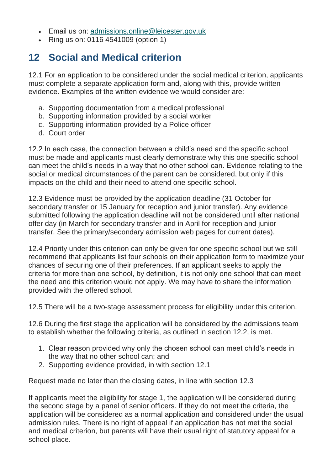- Email us on: [admissions.online@leicester.gov.uk](mailto:admissions.online@leicester.gov.uk)
- Ring us on: 0116 4541009 (option 1)

### **12 Social and Medical criterion**

12.1 For an application to be considered under the social medical criterion, applicants must complete a separate application form and, along with this, provide written evidence. Examples of the written evidence we would consider are:

- a. Supporting documentation from a medical professional
- b. Supporting information provided by a social worker
- c. Supporting information provided by a Police officer
- d. Court order

12.2 In each case, the connection between a child's need and the specific school must be made and applicants must clearly demonstrate why this one specific school can meet the child's needs in a way that no other school can. Evidence relating to the social or medical circumstances of the parent can be considered, but only if this impacts on the child and their need to attend one specific school.

12.3 Evidence must be provided by the application deadline (31 October for secondary transfer or 15 January for reception and junior transfer). Any evidence submitted following the application deadline will not be considered until after national offer day (in March for secondary transfer and in April for reception and junior transfer. See the primary/secondary admission web pages for current dates).

12.4 Priority under this criterion can only be given for one specific school but we still recommend that applicants list four schools on their application form to maximize your chances of securing one of their preferences. If an applicant seeks to apply the criteria for more than one school, by definition, it is not only one school that can meet the need and this criterion would not apply. We may have to share the information provided with the offered school.

12.5 There will be a two-stage assessment process for eligibility under this criterion.

12.6 During the first stage the application will be considered by the admissions team to establish whether the following criteria, as outlined in section 12.2, is met.

- 1. Clear reason provided why only the chosen school can meet child's needs in the way that no other school can; and
- 2. Supporting evidence provided, in with section 12.1

Request made no later than the closing dates, in line with section 12.3

If applicants meet the eligibility for stage 1, the application will be considered during the second stage by a panel of senior officers. If they do not meet the criteria, the application will be considered as a normal application and considered under the usual admission rules. There is no right of appeal if an application has not met the social and medical criterion, but parents will have their usual right of statutory appeal for a school place.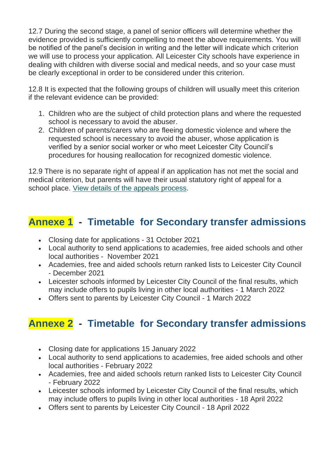12.7 During the second stage, a panel of senior officers will determine whether the evidence provided is sufficiently compelling to meet the above requirements. You will be notified of the panel's decision in writing and the letter will indicate which criterion we will use to process your application. All Leicester City schools have experience in dealing with children with diverse social and medical needs, and so your case must be clearly exceptional in order to be considered under this criterion.

12.8 It is expected that the following groups of children will usually meet this criterion if the relevant evidence can be provided:

- 1. Children who are the subject of child protection plans and where the requested school is necessary to avoid the abuser.
- 2. Children of parents/carers who are fleeing domestic violence and where the requested school is necessary to avoid the abuser, whose application is verified by a senior social worker or who meet Leicester City Council's procedures for housing reallocation for recognized domestic violence.

12.9 There is no separate right of appeal if an application has not met the social and medical criterion, but parents will have their usual statutory right of appeal for a school place. [View details of the appeals process.](https://www.leicester.gov.uk/schools-and-learning/school-and-colleges/school-admissions/appeal-against-a-school-place-decision/)

# **Annexe 1 - Timetable for Secondary transfer admissions**

- Closing date for applications 31 October 2021
- Local authority to send applications to academies, free aided schools and other local authorities - November 2021
- Academies, free and aided schools return ranked lists to Leicester City Council - December 2021
- Leicester schools informed by Leicester City Council of the final results, which may include offers to pupils living in other local authorities - 1 March 2022
- Offers sent to parents by Leicester City Council 1 March 2022

# **Annexe 2 - Timetable for Secondary transfer admissions**

- Closing date for applications 15 January 2022
- Local authority to send applications to academies, free aided schools and other local authorities - February 2022
- Academies, free and aided schools return ranked lists to Leicester City Council - February 2022
- Leicester schools informed by Leicester City Council of the final results, which may include offers to pupils living in other local authorities - 18 April 2022
- Offers sent to parents by Leicester City Council 18 April 2022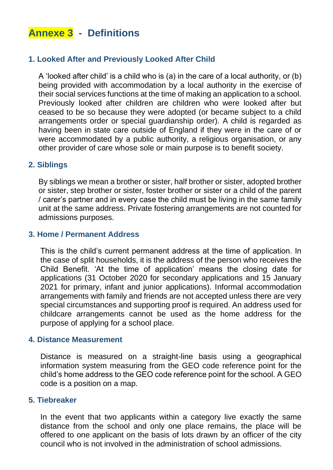# **Annexe 3 - Definitions**

#### **1. Looked After and Previously Looked After Child**

A 'looked after child' is a child who is (a) in the care of a local authority, or (b) being provided with accommodation by a local authority in the exercise of their social services functions at the time of making an application to a school. Previously looked after children are children who were looked after but ceased to be so because they were adopted (or became subject to a child arrangements order or special guardianship order). A child is regarded as having been in state care outside of England if they were in the care of or were accommodated by a public authority, a religious organisation, or any other provider of care whose sole or main purpose is to benefit society.

#### **2. Siblings**

By siblings we mean a brother or sister, half brother or sister, adopted brother or sister, step brother or sister, foster brother or sister or a child of the parent / carer's partner and in every case the child must be living in the same family unit at the same address. Private fostering arrangements are not counted for admissions purposes.

#### **3. Home / Permanent Address**

This is the child's current permanent address at the time of application. In the case of split households, it is the address of the person who receives the Child Benefit. 'At the time of application' means the closing date for applications (31 October 2020 for secondary applications and 15 January 2021 for primary, infant and junior applications). Informal accommodation arrangements with family and friends are not accepted unless there are very special circumstances and supporting proof is required. An address used for childcare arrangements cannot be used as the home address for the purpose of applying for a school place.

#### **4. Distance Measurement**

Distance is measured on a straight-line basis using a geographical information system measuring from the GEO code reference point for the child's home address to the GEO code reference point for the school. A GEO code is a position on a map.

#### **5. Tiebreaker**

In the event that two applicants within a category live exactly the same distance from the school and only one place remains, the place will be offered to one applicant on the basis of lots drawn by an officer of the city council who is not involved in the administration of school admissions.